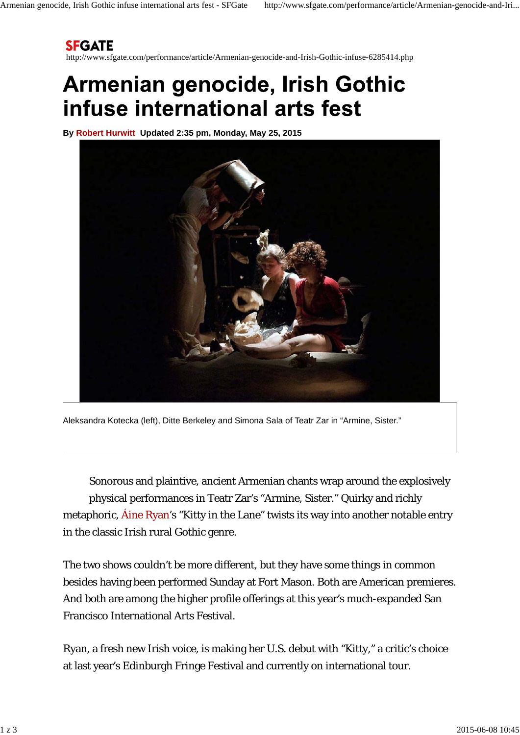## **SFGATE**

http://www.sfgate.com/performance/article/Armenian-genocide-and-Irish-Gothic-infuse-6285414.php

## Armenian genocide, Irish Gothic infuse international arts fest

**By Robert Hurwitt Updated 2:35 pm, Monday, May 25, 2015**



Aleksandra Kotecka (left), Ditte Berkeley and Simona Sala of Teatr Zar in "Armine, Sister."

Sonorous and plaintive, ancient Armenian chants wrap around the explosively physical performances in Teatr Zar's "Armine, Sister." Quirky and richly metaphoric, Áine Ryan's "Kitty in the Lane" twists its way into another notable entry in the classic Irish rural Gothic genre.

The two shows couldn't be more different, but they have some things in common besides having been performed Sunday at Fort Mason. Both are American premieres. And both are among the higher profile offerings at this year's much-expanded San Francisco International Arts Festival.

Ryan, a fresh new Irish voice, is making her U.S. debut with "Kitty," a critic's choice at last year's Edinburgh Fringe Festival and currently on international tour.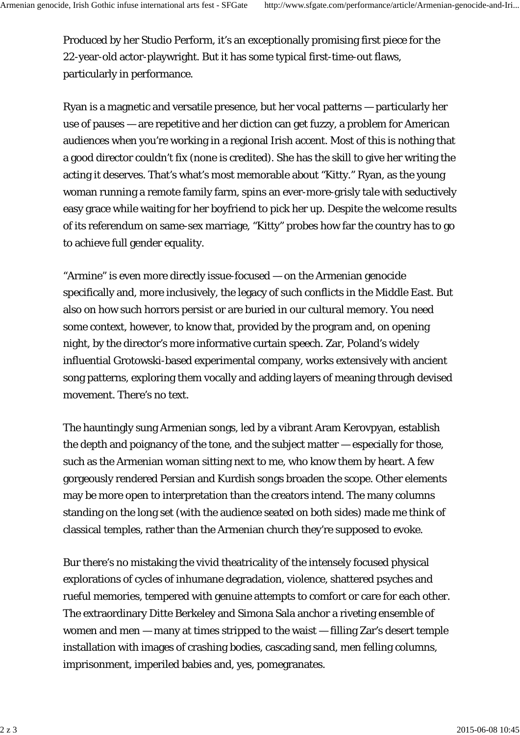Produced by her Studio Perform, it's an exceptionally promising first piece for the 22-year-old actor-playwright. But it has some typical first-time-out flaws, particularly in performance.

Ryan is a magnetic and versatile presence, but her vocal patterns — particularly her use of pauses — are repetitive and her diction can get fuzzy, a problem for American audiences when you're working in a regional Irish accent. Most of this is nothing that a good director couldn't fix (none is credited). She has the skill to give her writing the acting it deserves. That's what's most memorable about "Kitty." Ryan, as the young woman running a remote family farm, spins an ever-more-grisly tale with seductively easy grace while waiting for her boyfriend to pick her up. Despite the welcome results of its referendum on same-sex marriage, "Kitty" probes how far the country has to go to achieve full gender equality.

"Armine" is even more directly issue-focused — on the Armenian genocide specifically and, more inclusively, the legacy of such conflicts in the Middle East. But also on how such horrors persist or are buried in our cultural memory. You need some context, however, to know that, provided by the program and, on opening night, by the director's more informative curtain speech. Zar, Poland's widely influential Grotowski-based experimental company, works extensively with ancient song patterns, exploring them vocally and adding layers of meaning through devised movement. There's no text.

The hauntingly sung Armenian songs, led by a vibrant Aram Kerovpyan, establish the depth and poignancy of the tone, and the subject matter — especially for those, such as the Armenian woman sitting next to me, who know them by heart. A few gorgeously rendered Persian and Kurdish songs broaden the scope. Other elements may be more open to interpretation than the creators intend. The many columns standing on the long set (with the audience seated on both sides) made me think of classical temples, rather than the Armenian church they're supposed to evoke.

Bur there's no mistaking the vivid theatricality of the intensely focused physical explorations of cycles of inhumane degradation, violence, shattered psyches and rueful memories, tempered with genuine attempts to comfort or care for each other. The extraordinary Ditte Berkeley and Simona Sala anchor a riveting ensemble of women and men — many at times stripped to the waist — filling Zar's desert temple installation with images of crashing bodies, cascading sand, men felling columns, imprisonment, imperiled babies and, yes, pomegranates.